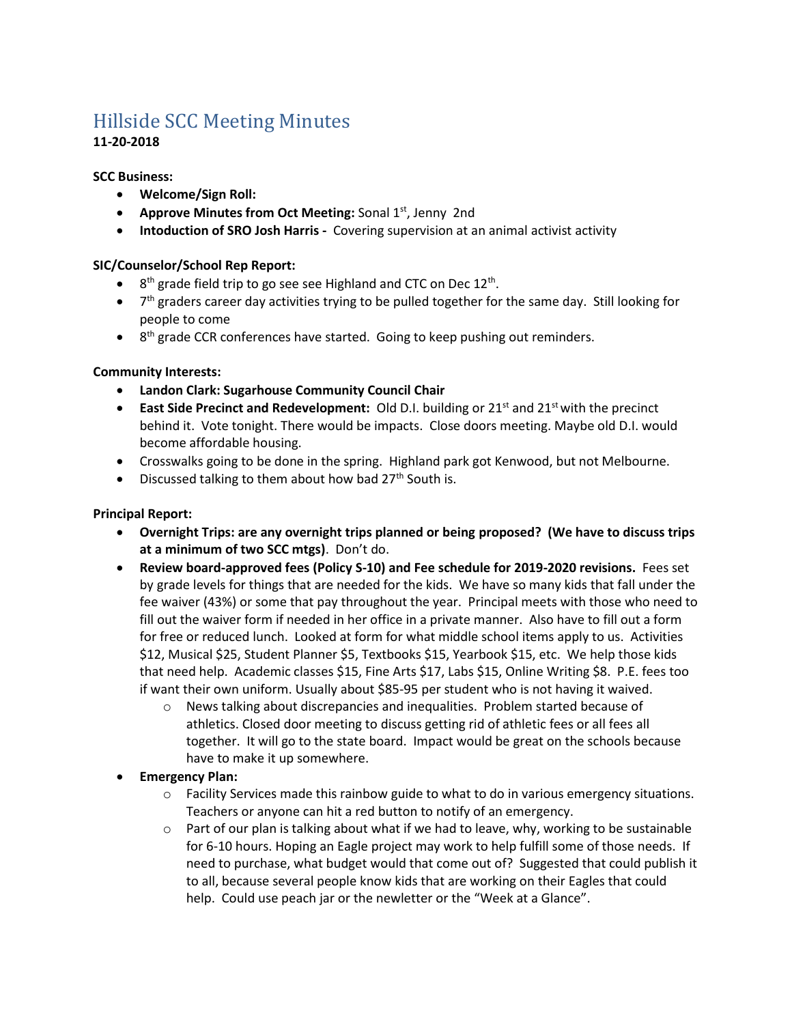# Hillside SCC Meeting Minutes

# **11-20-2018**

**SCC Business:**

- **Welcome/Sign Roll:**
- **Approve Minutes from Oct Meeting:** Sonal 1st, Jenny 2nd
- **Intoduction of SRO Josh Harris -** Covering supervision at an animal activist activity

# **SIC/Counselor/School Rep Report:**

- $\bullet$  8<sup>th</sup> grade field trip to go see see Highland and CTC on Dec 12<sup>th</sup>.
- $\bullet$  7<sup>th</sup> graders career day activities trying to be pulled together for the same day. Still looking for people to come
- 8<sup>th</sup> grade CCR conferences have started. Going to keep pushing out reminders.

## **Community Interests:**

- **Landon Clark: Sugarhouse Community Council Chair**
- **East Side Precinct and Redevelopment:** Old D.I. building or 21<sup>st</sup> and 21<sup>st</sup> with the precinct behind it. Vote tonight. There would be impacts. Close doors meeting. Maybe old D.I. would become affordable housing.
- Crosswalks going to be done in the spring. Highland park got Kenwood, but not Melbourne.
- Discussed talking to them about how bad  $27<sup>th</sup>$  South is.

## **Principal Report:**

- **Overnight Trips: are any overnight trips planned or being proposed? (We have to discuss trips at a minimum of two SCC mtgs)**. Don't do.
- **Review board-approved fees (Policy S-10) and Fee schedule for 2019-2020 revisions.** Fees set by grade levels for things that are needed for the kids. We have so many kids that fall under the fee waiver (43%) or some that pay throughout the year. Principal meets with those who need to fill out the waiver form if needed in her office in a private manner. Also have to fill out a form for free or reduced lunch. Looked at form for what middle school items apply to us. Activities \$12, Musical \$25, Student Planner \$5, Textbooks \$15, Yearbook \$15, etc. We help those kids that need help. Academic classes \$15, Fine Arts \$17, Labs \$15, Online Writing \$8. P.E. fees too if want their own uniform. Usually about \$85-95 per student who is not having it waived.
	- o News talking about discrepancies and inequalities. Problem started because of athletics. Closed door meeting to discuss getting rid of athletic fees or all fees all together. It will go to the state board. Impact would be great on the schools because have to make it up somewhere.
- **Emergency Plan:** 
	- $\circ$  Facility Services made this rainbow guide to what to do in various emergency situations. Teachers or anyone can hit a red button to notify of an emergency.
	- $\circ$  Part of our plan is talking about what if we had to leave, why, working to be sustainable for 6-10 hours. Hoping an Eagle project may work to help fulfill some of those needs. If need to purchase, what budget would that come out of? Suggested that could publish it to all, because several people know kids that are working on their Eagles that could help. Could use peach jar or the newletter or the "Week at a Glance".